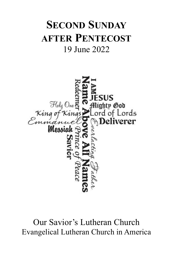# **SECOND SUNDAY AFTER PENTECOST** 19 June 2022



Our Savior's Lutheran Church Evangelical Lutheran Church in America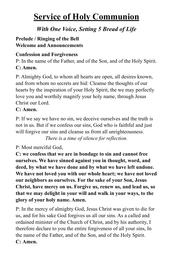# **Service of Holy Communion**

# *With One Voice, Setting 5 Bread of Life*

## **Prelude / Ringing of the Bell Welcome and Announcements**

## **Confession and Forgiveness**

P: In the name of the Father, and of the Son, and of the Holy Spirit. **C: Amen.** 

P: Almighty God, to whom all hearts are open, all desires known, and from whom no secrets are hid: Cleanse the thoughts of our hearts by the inspiration of your Holy Spirit, the we may perfectly love you and worthily magnify your holy name, through Jesus Christ our Lord.

## **C: Amen.**

P: If we say we have no sin, we deceive ourselves and the truth is not in us. But if we confess our sins, God who is faithful and just will forgive our sins and cleanse us from all unrighteousness. *There is a time of silence for reflection.*

P: Most merciful God,

**C: we confess that we are in bondage to sin and cannot free ourselves. We have sinned against you in thought, word, and deed, by what we have done and by what we have left undone. We have not loved you with our whole heart; we have not loved our neighbors as ourselves. For the sake of your Son, Jesus Christ, have mercy on us. Forgive us, renew us, and lead us, so that we may delight in your will and walk in your ways, to the glory of your holy name. Amen.**

P: In the mercy of almighty God, Jesus Christ was given to die for us, and for his sake God forgives us all our sins. As a called and ordained minister of the Church of Christ, and by his authority, I therefore declare to you the entire forgiveness of all your sins, In the name of the Father, and of the Son, and of the Holy Spirit. **C: Amen.**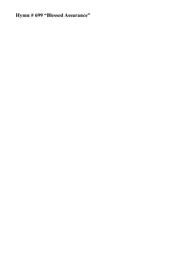# **Hymn # 699 "Blessed Assurance"**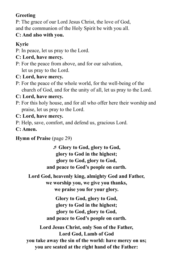## **Greeting**

P: The grace of our Lord Jesus Christ, the love of God, and the communion of the Holy Spirit be with you all.

## **C: And also with you.**

# **Kyrie**

- P: In peace, let us pray to the Lord.
- **C: Lord, have mercy.**
- P: For the peace from above, and for our salvation, let us pray to the Lord.
- **C: Lord, have mercy.**
- P: For the peace of the whole world, for the well-being of the church of God, and for the unity of all, let us pray to the Lord.

## **C: Lord, have mercy.**

- P: For this holy house, and for all who offer here their worship and praise, let us pray to the Lord.
- **C: Lord, have mercy.**
- P: Help, save, comfort, and defend us, gracious Lord.

## **C: Amen.**

## **Hymn of Praise** (page 29)

! **Glory to God, glory to God, glory to God in the highest; glory to God, glory to God, and peace to God's people on earth.**

**Lord God, heavenly king, almighty God and Father, we worship you, we give you thanks, we praise you for your glory.**

> **Glory to God, glory to God, glory to God in the highest; glory to God, glory to God, and peace to God's people on earth.**

**Lord Jesus Christ, only Son of the Father, Lord God, Lamb of God you take away the sin of the world: have mercy on us; you are seated at the right hand of the Father:**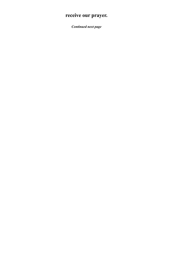### **receive our prayer.**

*Continued next page*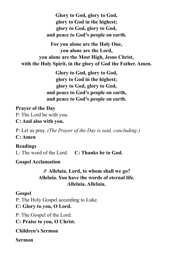**Glory to God, glory to God, glory to God in the highest; glory to God, glory to God, and peace to God's people on earth.**

**For you alone are the Holy One, you alone are the Lord, you alone are the Most High, Jesus Christ, with the Holy Spirit, in the glory of God the Father. Amen.**

> **Glory to God, glory to God, glory to God in the highest; glory to God, glory to God, and peace to God's people on earth, and peace to God's people on earth.**

#### **Prayer of the Day**

P: The Lord be with you. **C: And also with you.**

P: Let us pray. *(The Prayer of the Day is said, concluding:)* **C: Amen**

#### **Readings**

L: The word of the Lord. **C: Thanks be to God.**

#### **Gospel Acclamation**

! **Alleluia. Lord, to whom shall we go? Alleluia. You have the words of eternal life. Alleluia. Alleluia.**

#### **Gospel**

P: The Holy Gospel according to Luke.

#### **C: Glory to you, O Lord.**

P: The Gospel of the Lord.

**C: Praise to you, O Christ.**

### **Children's Sermon**

#### **Sermon**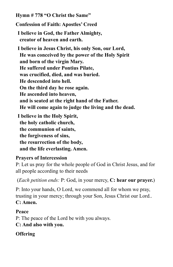**Hymn # 778 "O Christ the Same"**

**Confession of Faith: Apostles' Creed**

**I believe in God, the Father Almighty, creator of heaven and earth.**

**I believe in Jesus Christ, his only Son, our Lord, He was conceived by the power of the Holy Spirit and born of the virgin Mary. He suffered under Pontius Pilate, was crucified, died, and was buried. He descended into hell. On the third day he rose again. He ascended into heaven, and is seated at the right hand of the Father. He will come again to judge the living and the dead.**

**I believe in the Holy Spirit, the holy catholic church, the communion of saints, the forgiveness of sins, the resurrection of the body, and the life everlasting. Amen.**

#### **Prayers of Intercession**

P: Let us pray for the whole people of God in Christ Jesus, and for all people according to their needs

(*Each petition ends:* P: God, in your mercy, **C: hear our prayer.**)

P: Into your hands, O Lord, we commend all for whom we pray, trusting in your mercy; through your Son, Jesus Christ our Lord.. **C: Amen.**

#### **Peace**

P: The peace of the Lord be with you always.

**C: And also with you.**

## **Offering**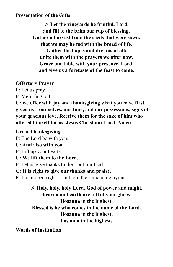#### **Presentation of the Gifts**

! **Let the vineyards be fruitful, Lord, and fill to the brim our cup of blessing. Gather a harvest from the seeds that were sown, that we may be fed with the bread of life. Gather the hopes and dreams of all; unite them with the prayers we offer now. Grace our table with your presence, Lord, and give us a foretaste of the feast to come.**

#### **Offertory Prayer**

P: Let us pray.

P: Merciful God,

**C: we offer with joy and thanksgiving what you have first given us – our selves, our time, and our possessions, signs of your gracious love. Receive them for the sake of him who offered himself for us, Jesus Christ our Lord. Amen**

#### **Great Thanksgiving**

P: The Lord be with you.

#### **C: And also with you.**

P: Lift up your hearts.

**C: We lift them to the Lord.**

P: Let us give thanks to the Lord our God.

#### **C: It is right to give our thanks and praise.**

P: It is indeed right….and join their unending hymn:

! **Holy, holy, holy Lord, God of power and might, heaven and earth are full of your glory. Hosanna in the highest. Blessed is he who comes in the name of the Lord. Hosanna in the highest, hosanna in the highest.**

#### **Words of Institution**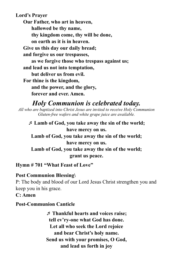**Lord's Prayer Our Father, who art in heaven, hallowed be thy name, thy kingdom come, thy will be done, on earth as it is in heaven. Give us this day our daily bread; and forgive us our trespasses, as we forgive those who trespass against us; and lead us not into temptation, but deliver us from evil. For thine is the kingdom, and the power, and the glory, forever and ever. Amen.**

# *Holy Communion is celebrated today.*

*All who are baptized into Christ Jesus are invited to receive Holy Communion Gluten-free wafers and white grape juice are available.*

! **Lamb of God, you take away the sin of the world; have mercy on us. Lamb of God, you take away the sin of the world; have mercy on us. Lamb of God, you take away the sin of the world; grant us peace.**

**Hymn # 701 "What Feast of Love"**

#### **Post Communion Blessing\**

P: The body and blood of our Lord Jesus Christ strengthen you and keep you in his grace.

**C: Amen**

#### **Post-Communion Canticle**

! **Thankful hearts and voices raise; tell ev'ry-one what God has done. Let all who seek the Lord rejoice and bear Christ's holy name. Send us with your promises, O God, and lead us forth in joy**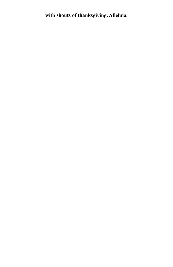**with shouts of thanksgiving. Alleluia.**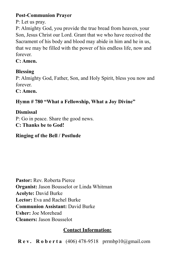## **Post-Communion Prayer**

P: Let us pray.

P: Almighty God, you provide the true bread from heaven, your Son, Jesus Christ our Lord. Grant that we who have received the Sacrament of his body and blood may abide in him and he in us, that we may be filled with the power of his endless life, now and forever.

## **C: Amen.**

## **Blessing**

P: Almighty God, Father, Son, and Holy Spirit, bless you now and forever.

## **C: Amen.**

## **Hymn # 780 "What a Fellowship, What a Joy Divine"**

**Dismissal** P: Go in peace. Share the good news.

## **C: Thanks be to God!**

## **Ringing of the Bell / Postlude**

**Pastor:** Rev. Roberta Pierce **Organist:** Jason Bousselot or Linda Whitman **Acolyte:** David Burke **Lector:** Eva and Rachel Burke **Communion Assistant:** David Burke **Usher:** Joe Morehead **Cleaners:** Jason Bousselot

## **Contact Information:**

**R e v . R o b e r t a**  (406) 478-9518 [prrmbp10@gmail.com](mailto:prrmbp10@gmail.com)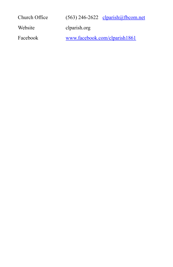| Church Office | $(563)$ 246-2622 clparish@fbcom.net |
|---------------|-------------------------------------|
| Website       | clparish.org                        |
| Facebook      | www.facebook.com/clparish1861       |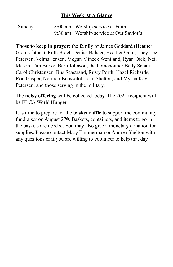#### **This Week At A Glance**

Sunday 9:30 am Worship service at Our Savior'sWorship service at Faith

**Those to keep in prayer:** the family of James Goddard (Heather Grau's father), Ruth Braet, Denise Balster, Heather Grau, Lucy Lee Petersen, Velma Jensen, Megan Mineck Wentland, Ryan Dick, Neil Mason, Tim Burke, Barb Johnson; the homebound: Betty Schau, Carol Christensen, Bus Seastrand, Rusty Porth, Hazel Richards, Ron Gasper, Norman Bousselot, Joan Shelton, and Myrna Kay Petersen; and those serving in the military.

The **noisy offering** will be collected today. The 2022 recipient will be ELCA World Hunger.

It is time to prepare for the **basket raffle** to support the community fundraiser on August 27th. Baskets, containers, and items to go in the baskets are needed. You may also give a monetary donation for supplies. Please contact Mary Timmerman or Andrea Shelton with any questions or if you are willing to volunteer to help that day.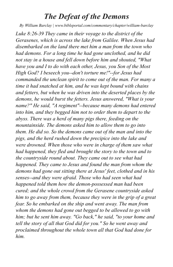# *The Defeat of the Demons*

*By William Barclay | www.bibleportal.com/commentary/chapter/william-barclay*

*Luke 8:26-39 They came in their voyage to the district of the Gerasenes, which is across the lake from Galilee. When Jesus had disembarked on the land there met him a man from the town who had demons. For a long time he had gone unclothed, and he did not stay in a house and fell down before him and shouted, "What have you and I to do with each other, Jesus, you Son of the Most High God? I beseech you--don't torture me!"--for Jesus had commanded the unclean spirit to come out of the man. For many a time it had snatched at him, and he was kept bound with chains and fetters, but when he was driven into the deserted places by the demons, he would burst the fetters. Jesus answered, "What is your name?" He said, "A regiment"--because many demons had entered into him, and they begged him not to order them to depart to the abyss. There was a herd of many pigs there, feeding on the mountainside. The demons asked him to allow them to go into them. He did so. So the demons came out of the man and into the pigs, and the herd rushed down the precipice into the lake and were drowned. When those who were in charge of them saw what had happened, they fled and brought the story to the town and to the countryside round about. They came out to see what had happened. They came to Jesus and found the man from whom the demons had gone out sitting there at Jesus' feet, clothed and in his senses--and they were afraid. Those who had seen what had happened told them how the demon-possessed man had been cured; and the whole crowd from the Gerasene countryside asked him to go away from them, because they were in the grip of a great fear. So he embarked on the ship and went away. The man from whom the demons had gone out begged to be allowed to go with him; but he sent him away. "Go back," he said, "to your home and tell the story of all that God did for you." So he went away and proclaimed throughout the whole town all that God had done for him.*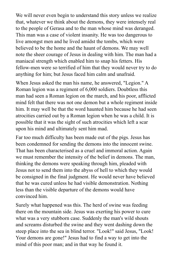We will never even begin to understand this story unless we realize that, whatever we think about the demons, they were intensely real to the people of Gerasa and to the man whose mind was deranged. This man was a case of violent insanity. He was too dangerous to live amongst men and he lived amidst the tombs, which were believed to be the home and the haunt of demons. We may well note the sheer courage of Jesus in dealing with him. The man had a maniacal strength which enabled him to snap his fetters. His fellow-men were so terrified of him that they would never try to do anything for him; but Jesus faced him calm and unafraid.

When Jesus asked the man his name, he answered, "Legion." A Roman legion was a regiment of 6,000 soldiers. Doubtless this man had seen a Roman legion on the march, and his poor, afflicted mind felt that there was not one demon but a whole regiment inside him. It may well be that the word haunted him because he had seen atrocities carried out by a Roman legion when he was a child. It is possible that it was the sight of such atrocities which left a scar upon his mind and ultimately sent him mad.

Far too much difficulty has been made out of the pigs. Jesus has been condemned for sending the demons into the innocent swine. That has been characterised as a cruel and immoral action. Again we must remember the intensity of the belief in demons. The man, thinking the demons were speaking through him, pleaded with Jesus not to send them into the abyss of hell to which they would be consigned in the final judgment. He would never have believed that he was cured unless he had visible demonstration. Nothing less than the visible departure of the demons would have convinced him.

Surely what happened was this. The herd of swine was feeding there on the mountain side. Jesus was exerting his power to cure what was a very stubborn case. Suddenly the man's wild shouts and screams disturbed the swine and they went dashing down the steep place into the sea in blind terror. "Look!" said Jesus, "Look! Your demons are gone!" Jesus had to find a way to get into the mind of this poor man; and in that way he found it.